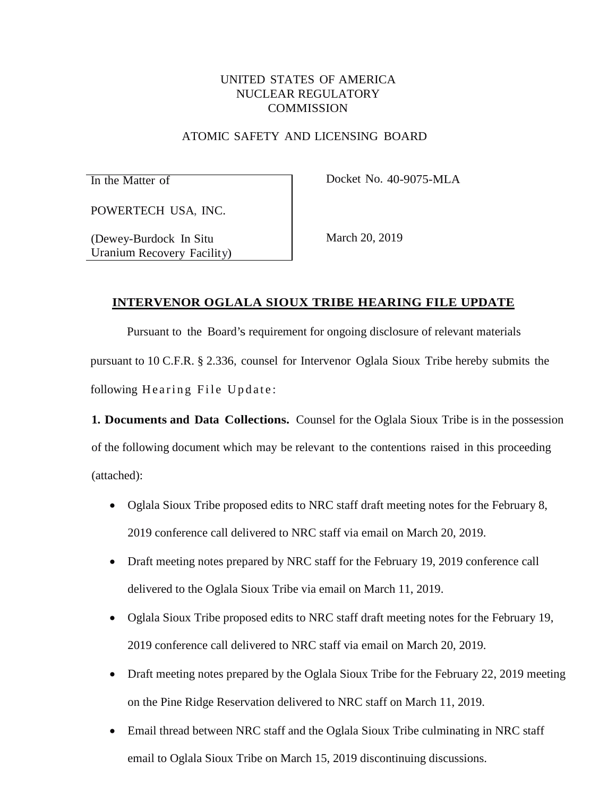# UNITED STATES OF AMERICA NUCLEAR REGULATORY **COMMISSION**

#### ATOMIC SAFETY AND LICENSING BOARD

In the Matter of Docket No. 40-9075-MLA

POWERTECH USA, INC.

(Dewey-Burdock In Situ Uranium Recovery Facility) March 20, 2019

## **INTERVENOR OGLALA SIOUX TRIBE HEARING FILE UPDATE**

Pursuant to the Board's requirement for ongoing disclosure of relevant materials pursuant to 10 C.F.R. § 2.336, counsel for Intervenor Oglala Sioux Tribe hereby submits the following Hearing File Update:

**1. Documents and Data Collections.** Counsel for the Oglala Sioux Tribe is in the possession of the following document which may be relevant to the contentions raised in this proceeding (attached):

- Oglala Sioux Tribe proposed edits to NRC staff draft meeting notes for the February 8, 2019 conference call delivered to NRC staff via email on March 20, 2019.
- Draft meeting notes prepared by NRC staff for the February 19, 2019 conference call delivered to the Oglala Sioux Tribe via email on March 11, 2019.
- Oglala Sioux Tribe proposed edits to NRC staff draft meeting notes for the February 19, 2019 conference call delivered to NRC staff via email on March 20, 2019.
- Draft meeting notes prepared by the Oglala Sioux Tribe for the February 22, 2019 meeting on the Pine Ridge Reservation delivered to NRC staff on March 11, 2019.
- Email thread between NRC staff and the Oglala Sioux Tribe culminating in NRC staff email to Oglala Sioux Tribe on March 15, 2019 discontinuing discussions.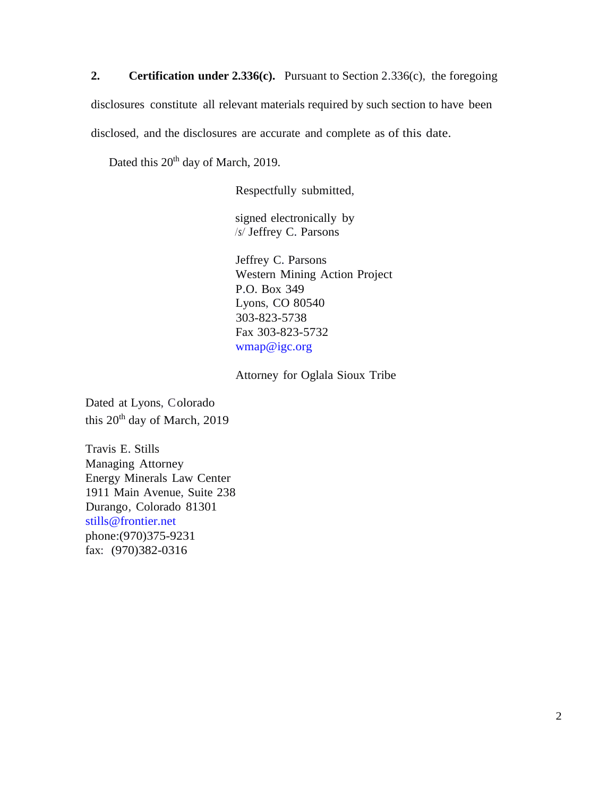**2. Certification under 2.336(c).** Pursuant to Section 2.336(c), the foregoing

disclosures constitute all relevant materials required by such section to have been

disclosed, and the disclosures are accurate and complete as of this date.

Dated this 20<sup>th</sup> day of March, 2019.

Respectfully submitted,

signed electronically by */s/* Jeffrey C. Parsons

Jeffrey C. Parsons Western Mining Action Project P.O. Box 349 Lyons, CO 80540 303-823-5738 Fax 303-823-5732 [wmap@igc.org](mailto:wmap@igc.org)

Attorney for Oglala Sioux Tribe

Dated at Lyons, Colorado this 20th day of March, 2019

Travis E. Stills Managing Attorney Energy Minerals Law Center 1911 Main Avenue, Suite 238 Durango, Colorado 81301 [stills@frontier.net](mailto:stills@frontier.net)  phone:(970)375-9231 fax: (970)382-0316